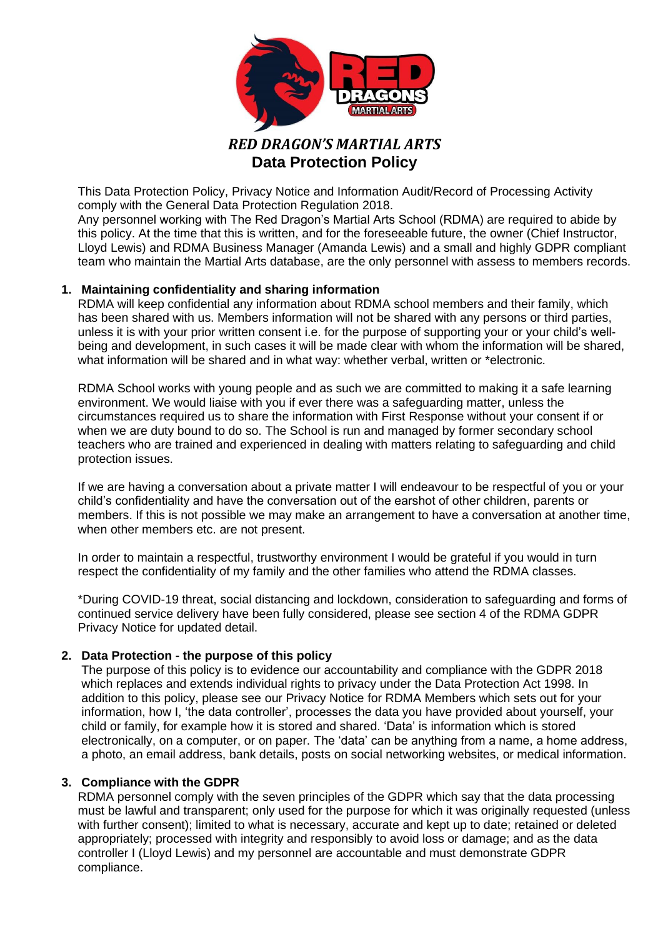

# *RED DRAGON'S MARTIAL ARTS* **Data Protection Policy**

This Data Protection Policy, Privacy Notice and Information Audit/Record of Processing Activity comply with the General Data Protection Regulation 2018.

Any personnel working with The Red Dragon's Martial Arts School (RDMA) are required to abide by this policy. At the time that this is written, and for the foreseeable future, the owner (Chief Instructor, Lloyd Lewis) and RDMA Business Manager (Amanda Lewis) and a small and highly GDPR compliant team who maintain the Martial Arts database, are the only personnel with assess to members records.

# **1. Maintaining confidentiality and sharing information**

RDMA will keep confidential any information about RDMA school members and their family, which has been shared with us. Members information will not be shared with any persons or third parties, unless it is with your prior written consent i.e. for the purpose of supporting your or your child's wellbeing and development, in such cases it will be made clear with whom the information will be shared, what information will be shared and in what way: whether verbal, written or \*electronic.

RDMA School works with young people and as such we are committed to making it a safe learning environment. We would liaise with you if ever there was a safeguarding matter, unless the circumstances required us to share the information with First Response without your consent if or when we are duty bound to do so. The School is run and managed by former secondary school teachers who are trained and experienced in dealing with matters relating to safeguarding and child protection issues.

If we are having a conversation about a private matter I will endeavour to be respectful of you or your child's confidentiality and have the conversation out of the earshot of other children, parents or members. If this is not possible we may make an arrangement to have a conversation at another time, when other members etc. are not present.

In order to maintain a respectful, trustworthy environment I would be grateful if you would in turn respect the confidentiality of my family and the other families who attend the RDMA classes.

\*During COVID-19 threat, social distancing and lockdown, consideration to safeguarding and forms of continued service delivery have been fully considered, please see section 4 of the RDMA GDPR Privacy Notice for updated detail.

## **2. Data Protection - the purpose of this policy**

The purpose of this policy is to evidence our accountability and compliance with the GDPR 2018 which replaces and extends individual rights to privacy under the Data Protection Act 1998. In addition to this policy, please see our Privacy Notice for RDMA Members which sets out for your information, how I, 'the data controller', processes the data you have provided about yourself, your child or family, for example how it is stored and shared. 'Data' is information which is stored electronically, on a computer, or on paper. The 'data' can be anything from a name, a home address, a photo, an email address, bank details, posts on social networking websites, or medical information.

## **3. Compliance with the GDPR**

RDMA personnel comply with the seven principles of the GDPR which say that the data processing must be lawful and transparent; only used for the purpose for which it was originally requested (unless with further consent); limited to what is necessary, accurate and kept up to date; retained or deleted appropriately; processed with integrity and responsibly to avoid loss or damage; and as the data controller I (Lloyd Lewis) and my personnel are accountable and must demonstrate GDPR compliance.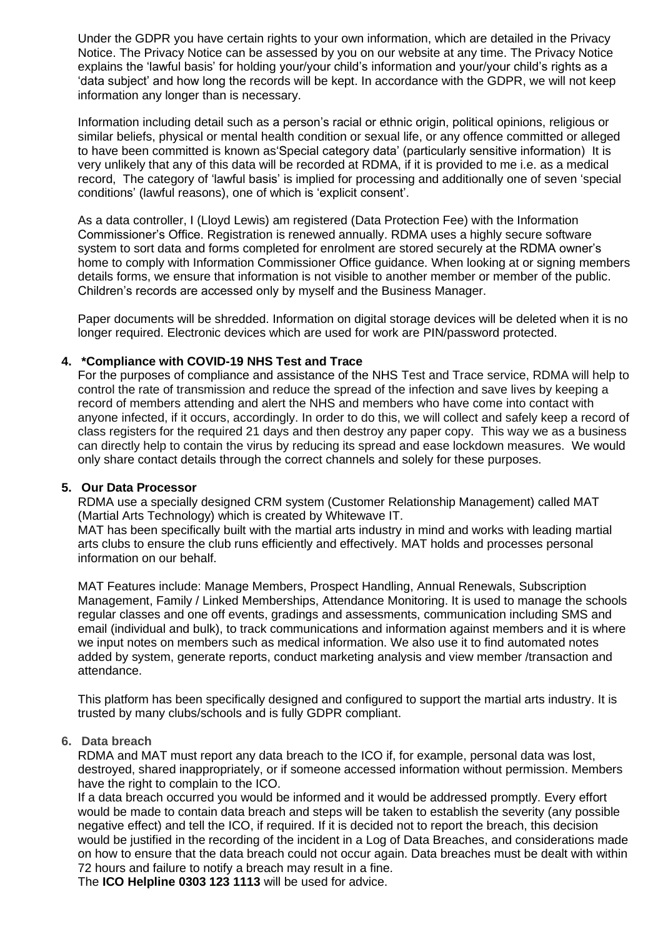Under the GDPR you have certain rights to your own information, which are detailed in the Privacy Notice. The Privacy Notice can be assessed by you on our website at any time. The Privacy Notice explains the 'lawful basis' for holding your/your child's information and your/your child's rights as a 'data subject' and how long the records will be kept. In accordance with the GDPR, we will not keep information any longer than is necessary.

Information including detail such as a person's racial or ethnic origin, political opinions, religious or similar beliefs, physical or mental health condition or sexual life, or any offence committed or alleged to have been committed is known as'Special category data' (particularly sensitive information) It is very unlikely that any of this data will be recorded at RDMA, if it is provided to me i.e. as a medical record, The category of 'lawful basis' is implied for processing and additionally one of seven 'special conditions' (lawful reasons), one of which is 'explicit consent'.

As a data controller, I (Lloyd Lewis) am registered (Data Protection Fee) with the Information Commissioner's Office. Registration is renewed annually. RDMA uses a highly secure software system to sort data and forms completed for enrolment are stored securely at the RDMA owner's home to comply with Information Commissioner Office guidance. When looking at or signing members details forms, we ensure that information is not visible to another member or member of the public. Children's records are accessed only by myself and the Business Manager.

Paper documents will be shredded. Information on digital storage devices will be deleted when it is no longer required. Electronic devices which are used for work are PIN/password protected.

## **4. \*Compliance with COVID-19 NHS Test and Trace**

For the purposes of compliance and assistance of the NHS Test and Trace service, RDMA will help to control the rate of transmission and reduce the spread of the infection and save lives by keeping a record of members attending and alert the NHS and members who have come into contact with anyone infected, if it occurs, accordingly. In order to do this, we will collect and safely keep a record of class registers for the required 21 days and then destroy any paper copy. This way we as a business can directly help to contain the virus by reducing its spread and ease lockdown measures. We would only share contact details through the correct channels and solely for these purposes.

## **5. Our Data Processor**

RDMA use a specially designed CRM system (Customer Relationship Management) called MAT (Martial Arts Technology) which is created by Whitewave IT.

MAT has been specifically built with the martial arts industry in mind and works with leading martial arts clubs to ensure the club runs efficiently and effectively. MAT holds and processes personal information on our behalf.

MAT Features include: Manage Members, Prospect Handling, Annual Renewals, Subscription Management, Family / Linked Memberships, Attendance Monitoring. It is used to manage the schools regular classes and one off events, gradings and assessments, communication including SMS and email (individual and bulk), to track communications and information against members and it is where we input notes on members such as medical information. We also use it to find automated notes added by system, generate reports, conduct marketing analysis and view member /transaction and attendance.

This platform has been specifically designed and configured to support the martial arts industry. It is trusted by many clubs/schools and is fully GDPR compliant.

## **6. Data breach**

RDMA and MAT must report any data breach to the ICO if, for example, personal data was lost, destroyed, shared inappropriately, or if someone accessed information without permission. Members have the right to complain to the ICO.

If a data breach occurred you would be informed and it would be addressed promptly. Every effort would be made to contain data breach and steps will be taken to establish the severity (any possible negative effect) and tell the ICO, if required. If it is decided not to report the breach, this decision would be justified in the recording of the incident in a Log of Data Breaches, and considerations made on how to ensure that the data breach could not occur again. Data breaches must be dealt with within 72 hours and failure to notify a breach may result in a fine.

The **ICO Helpline 0303 123 1113** will be used for advice.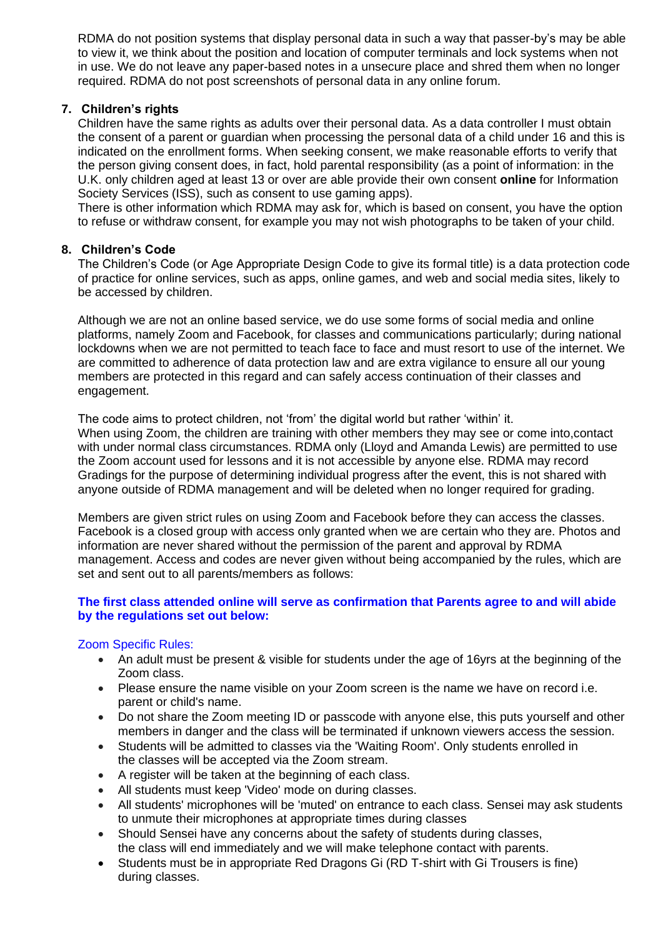RDMA do not position systems that display personal data in such a way that passer-by's may be able to view it, we think about the position and location of computer terminals and lock systems when not in use. We do not leave any paper-based notes in a unsecure place and shred them when no longer required. RDMA do not post screenshots of personal data in any online forum.

# **7. Children's rights**

Children have the same rights as adults over their personal data. As a data controller I must obtain the consent of a parent or guardian when processing the personal data of a child under 16 and this is indicated on the enrollment forms. When seeking consent, we make reasonable efforts to verify that the person giving consent does, in fact, hold parental responsibility (as a point of information: in the U.K. only children aged at least 13 or over are able provide their own consent **online** for Information Society Services (ISS), such as consent to use gaming apps).

There is other information which RDMA may ask for, which is based on consent, you have the option to refuse or withdraw consent, for example you may not wish photographs to be taken of your child.

## **8. Children's Code**

The Children's Code (or Age Appropriate Design Code to give its formal title) is a data protection code of practice for online services, such as apps, online games, and web and social media sites, likely to be accessed by children.

Although we are not an online based service, we do use some forms of social media and online platforms, namely Zoom and Facebook, for classes and communications particularly; during national lockdowns when we are not permitted to teach face to face and must resort to use of the internet. We are committed to adherence of data protection law and are extra vigilance to ensure all our young members are protected in this regard and can safely access continuation of their classes and engagement.

The code aims to protect children, not 'from' the digital world but rather 'within' it. When using Zoom, the children are training with other members they may see or come into,contact with under normal class circumstances. RDMA only (Lloyd and Amanda Lewis) are permitted to use the Zoom account used for lessons and it is not accessible by anyone else. RDMA may record Gradings for the purpose of determining individual progress after the event, this is not shared with anyone outside of RDMA management and will be deleted when no longer required for grading.

Members are given strict rules on using Zoom and Facebook before they can access the classes. Facebook is a closed group with access only granted when we are certain who they are. Photos and information are never shared without the permission of the parent and approval by RDMA management. Access and codes are never given without being accompanied by the rules, which are set and sent out to all parents/members as follows:

## **The first class attended online will serve as confirmation that Parents agree to and will abide by the regulations set out below:**

## Zoom Specific Rules:

- An adult must be present & visible for students under the age of 16yrs at the beginning of the Zoom class.
- Please ensure the name visible on your Zoom screen is the name we have on record i.e. parent or child's name.
- Do not share the Zoom meeting ID or passcode with anyone else, this puts yourself and other members in danger and the class will be terminated if unknown viewers access the session.
- Students will be admitted to classes via the 'Waiting Room'. Only students enrolled in the classes will be accepted via the Zoom stream.
- A register will be taken at the beginning of each class.
- All students must keep 'Video' mode on during classes.
- All students' microphones will be 'muted' on entrance to each class. Sensei may ask students to unmute their microphones at appropriate times during classes
- Should Sensei have any concerns about the safety of students during classes, the class will end immediately and we will make telephone contact with parents.
- Students must be in appropriate Red Dragons Gi (RD T-shirt with Gi Trousers is fine) during classes.